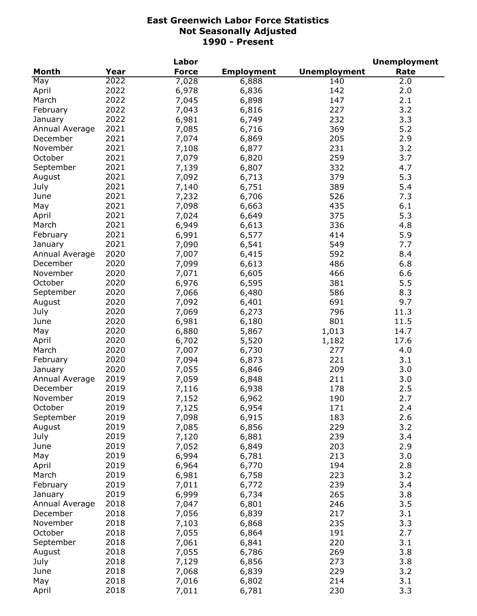|                |      | Labor        |                   |                     | <b>Unemployment</b> |
|----------------|------|--------------|-------------------|---------------------|---------------------|
| <b>Month</b>   | Year | <b>Force</b> | <b>Employment</b> | <b>Unemployment</b> | Rate                |
| May            | 2022 | 7,028        | 6,888             | 140                 | 2.0                 |
| April          | 2022 | 6,978        | 6,836             | 142                 | 2.0                 |
| March          | 2022 | 7,045        | 6,898             | 147                 | 2.1                 |
| February       | 2022 | 7,043        | 6,816             | 227                 | 3.2                 |
| January        | 2022 | 6,981        | 6,749             | 232                 | 3.3                 |
| Annual Average | 2021 | 7,085        | 6,716             | 369                 | 5.2                 |
| December       | 2021 | 7,074        | 6,869             | 205                 | 2.9                 |
| November       | 2021 | 7,108        | 6,877             | 231                 | 3.2                 |
| October        | 2021 | 7,079        | 6,820             | 259                 | 3.7                 |
| September      | 2021 | 7,139        | 6,807             | 332                 | 4.7                 |
| August         | 2021 | 7,092        | 6,713             | 379                 | 5.3                 |
| July           | 2021 | 7,140        | 6,751             | 389                 | 5.4                 |
| June           | 2021 | 7,232        | 6,706             | 526                 | 7.3                 |
|                | 2021 | 7,098        |                   | 435                 | 6.1                 |
| May            | 2021 |              | 6,663             | 375                 | 5.3                 |
| April          |      | 7,024        | 6,649             |                     |                     |
| March          | 2021 | 6,949        | 6,613             | 336                 | 4.8                 |
| February       | 2021 | 6,991        | 6,577             | 414                 | 5.9                 |
| January        | 2021 | 7,090        | 6,541             | 549                 | 7.7                 |
| Annual Average | 2020 | 7,007        | 6,415             | 592                 | 8.4                 |
| December       | 2020 | 7,099        | 6,613             | 486                 | 6.8                 |
| November       | 2020 | 7,071        | 6,605             | 466                 | 6.6                 |
| October        | 2020 | 6,976        | 6,595             | 381                 | 5.5                 |
| September      | 2020 | 7,066        | 6,480             | 586                 | 8.3                 |
| August         | 2020 | 7,092        | 6,401             | 691                 | 9.7                 |
| July           | 2020 | 7,069        | 6,273             | 796                 | 11.3                |
| June           | 2020 | 6,981        | 6,180             | 801                 | 11.5                |
| May            | 2020 | 6,880        | 5,867             | 1,013               | 14.7                |
| April          | 2020 | 6,702        | 5,520             | 1,182               | 17.6                |
| March          | 2020 | 7,007        | 6,730             | 277                 | 4.0                 |
| February       | 2020 | 7,094        | 6,873             | 221                 | 3.1                 |
| January        | 2020 | 7,055        | 6,846             | 209                 | 3.0                 |
| Annual Average | 2019 | 7,059        | 6,848             | 211                 | 3.0                 |
| December       | 2019 | 7,116        | 6,938             | 178                 | 2.5                 |
| November       | 2019 | 7,152        | 6,962             | 190                 | 2.7                 |
| October        | 2019 | 7,125        | 6,954             | 171                 | 2.4                 |
| September      | 2019 | 7,098        | 6,915             | 183                 | 2.6                 |
| August         | 2019 | 7,085        | 6,856             | 229                 | 3.2                 |
| July           | 2019 | 7,120        | 6,881             | 239                 | 3.4                 |
| June           | 2019 | 7,052        | 6,849             | 203                 | 2.9                 |
| May            | 2019 | 6,994        | 6,781             | 213                 | 3.0                 |
| April          | 2019 | 6,964        | 6,770             | 194                 | 2.8                 |
| March          | 2019 | 6,981        | 6,758             | 223                 | 3.2                 |
| February       | 2019 | 7,011        | 6,772             | 239                 | 3.4                 |
| January        | 2019 | 6,999        | 6,734             | 265                 | 3.8                 |
| Annual Average | 2018 | 7,047        | 6,801             | 246                 | 3.5                 |
| December       | 2018 | 7,056        | 6,839             | 217                 | 3.1                 |
| November       | 2018 | 7,103        | 6,868             | 235                 | 3.3                 |
| October        | 2018 | 7,055        |                   | 191                 | 2.7                 |
| September      | 2018 |              | 6,864             | 220                 | 3.1                 |
|                |      | 7,061        | 6,841             |                     |                     |
| August         | 2018 | 7,055        | 6,786             | 269                 | 3.8                 |
| July           | 2018 | 7,129        | 6,856             | 273                 | 3.8                 |
| June           | 2018 | 7,068        | 6,839             | 229                 | 3.2                 |
| May            | 2018 | 7,016        | 6,802             | 214                 | 3.1                 |
| April          | 2018 | 7,011        | 6,781             | 230                 | 3.3                 |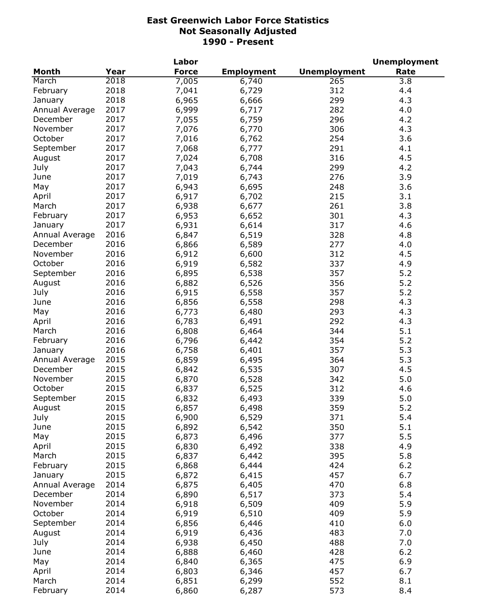|                |      | Labor        |                   |                     | <b>Unemployment</b> |
|----------------|------|--------------|-------------------|---------------------|---------------------|
| <b>Month</b>   | Year | <b>Force</b> | <b>Employment</b> | <b>Unemployment</b> | Rate                |
| March          | 2018 | 7,005        | 6,740             | 265                 | 3.8                 |
| February       | 2018 | 7,041        | 6,729             | 312                 | 4.4                 |
| January        | 2018 | 6,965        | 6,666             | 299                 | 4.3                 |
| Annual Average | 2017 | 6,999        | 6,717             | 282                 | 4.0                 |
| December       | 2017 | 7,055        | 6,759             | 296                 | 4.2                 |
| November       | 2017 | 7,076        | 6,770             | 306                 | 4.3                 |
| October        | 2017 | 7,016        | 6,762             | 254                 | 3.6                 |
| September      | 2017 | 7,068        | 6,777             | 291                 | 4.1                 |
| August         | 2017 | 7,024        | 6,708             | 316                 | 4.5                 |
| July           | 2017 | 7,043        | 6,744             | 299                 | 4.2                 |
| June           | 2017 | 7,019        | 6,743             | 276                 | 3.9                 |
|                |      |              |                   |                     |                     |
| May            | 2017 | 6,943        | 6,695             | 248                 | 3.6                 |
| April          | 2017 | 6,917        | 6,702             | 215                 | 3.1                 |
| March          | 2017 | 6,938        | 6,677             | 261                 | 3.8                 |
| February       | 2017 | 6,953        | 6,652             | 301                 | 4.3                 |
| January        | 2017 | 6,931        | 6,614             | 317                 | 4.6                 |
| Annual Average | 2016 | 6,847        | 6,519             | 328                 | 4.8                 |
| December       | 2016 | 6,866        | 6,589             | 277                 | 4.0                 |
| November       | 2016 | 6,912        | 6,600             | 312                 | 4.5                 |
| October        | 2016 | 6,919        | 6,582             | 337                 | 4.9                 |
| September      | 2016 | 6,895        | 6,538             | 357                 | 5.2                 |
| August         | 2016 | 6,882        | 6,526             | 356                 | 5.2                 |
| July           | 2016 | 6,915        | 6,558             | 357                 | 5.2                 |
| June           | 2016 | 6,856        | 6,558             | 298                 | 4.3                 |
| May            | 2016 | 6,773        | 6,480             | 293                 | 4.3                 |
| April          | 2016 | 6,783        | 6,491             | 292                 | 4.3                 |
| March          | 2016 | 6,808        | 6,464             | 344                 | 5.1                 |
| February       | 2016 | 6,796        | 6,442             | 354                 | 5.2                 |
| January        | 2016 | 6,758        | 6,401             | 357                 | 5.3                 |
| Annual Average | 2015 | 6,859        | 6,495             | 364                 | 5.3                 |
| December       | 2015 | 6,842        | 6,535             | 307                 | 4.5                 |
| November       | 2015 | 6,870        | 6,528             | 342                 | 5.0                 |
| October        | 2015 | 6,837        | 6,525             | 312                 | 4.6                 |
| September      | 2015 | 6,832        | 6,493             | 339                 | 5.0                 |
|                | 2015 |              |                   |                     |                     |
| August         |      | 6,857        | 6,498             | 359                 | $5.2$               |
| July           | 2015 | 6,900        | 6,529             | 371                 | 5.4                 |
| June           | 2015 | 6,892        | 6,542             | 350                 | 5.1                 |
| May            | 2015 | 6,873        | 6,496             | 377                 | 5.5                 |
| April          | 2015 | 6,830        | 6,492             | 338                 | 4.9                 |
| March          | 2015 | 6,837        | 6,442             | 395                 | 5.8                 |
| February       | 2015 | 6,868        | 6,444             | 424                 | 6.2                 |
| January        | 2015 | 6,872        | 6,415             | 457                 | 6.7                 |
| Annual Average | 2014 | 6,875        | 6,405             | 470                 | 6.8                 |
| December       | 2014 | 6,890        | 6,517             | 373                 | 5.4                 |
| November       | 2014 | 6,918        | 6,509             | 409                 | 5.9                 |
| October        | 2014 | 6,919        | 6,510             | 409                 | 5.9                 |
| September      | 2014 | 6,856        | 6,446             | 410                 | 6.0                 |
| August         | 2014 | 6,919        | 6,436             | 483                 | 7.0                 |
| July           | 2014 | 6,938        | 6,450             | 488                 | 7.0                 |
| June           | 2014 | 6,888        | 6,460             | 428                 | 6.2                 |
| May            | 2014 | 6,840        | 6,365             | 475                 | 6.9                 |
| April          | 2014 | 6,803        | 6,346             | 457                 | 6.7                 |
| March          | 2014 | 6,851        | 6,299             | 552                 | 8.1                 |
| February       | 2014 | 6,860        | 6,287             | 573                 | 8.4                 |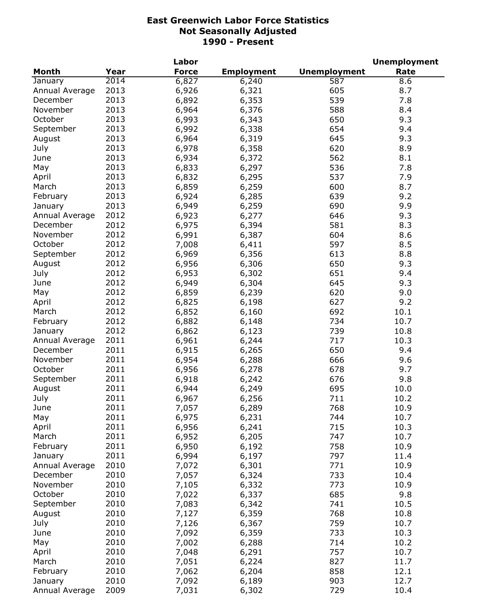|                |      | Labor        |                   |                     | <b>Unemployment</b> |
|----------------|------|--------------|-------------------|---------------------|---------------------|
| <b>Month</b>   | Year | <b>Force</b> | <b>Employment</b> | <b>Unemployment</b> | Rate                |
| January        | 2014 | 6,827        | 6,240             | 587                 | 8.6                 |
| Annual Average | 2013 | 6,926        | 6,321             | 605                 | 8.7                 |
| December       | 2013 | 6,892        | 6,353             | 539                 | 7.8                 |
| November       | 2013 | 6,964        | 6,376             | 588                 | 8.4                 |
| October        | 2013 | 6,993        | 6,343             | 650                 | 9.3                 |
| September      | 2013 | 6,992        | 6,338             | 654                 | 9.4                 |
| August         | 2013 | 6,964        | 6,319             | 645                 | 9.3                 |
| July           | 2013 | 6,978        | 6,358             | 620                 | 8.9                 |
| June           | 2013 | 6,934        | 6,372             | 562                 | 8.1                 |
| May            | 2013 | 6,833        | 6,297             | 536                 | 7.8                 |
| April          | 2013 | 6,832        | 6,295             | 537                 | 7.9                 |
| March          | 2013 | 6,859        | 6,259             | 600                 | 8.7                 |
|                | 2013 |              |                   |                     | 9.2                 |
| February       |      | 6,924        | 6,285             | 639                 |                     |
| January        | 2013 | 6,949        | 6,259             | 690                 | 9.9                 |
| Annual Average | 2012 | 6,923        | 6,277             | 646                 | 9.3                 |
| December       | 2012 | 6,975        | 6,394             | 581                 | 8.3                 |
| November       | 2012 | 6,991        | 6,387             | 604                 | 8.6                 |
| October        | 2012 | 7,008        | 6,411             | 597                 | 8.5                 |
| September      | 2012 | 6,969        | 6,356             | 613                 | 8.8                 |
| August         | 2012 | 6,956        | 6,306             | 650                 | 9.3                 |
| July           | 2012 | 6,953        | 6,302             | 651                 | 9.4                 |
| June           | 2012 | 6,949        | 6,304             | 645                 | 9.3                 |
| May            | 2012 | 6,859        | 6,239             | 620                 | 9.0                 |
| April          | 2012 | 6,825        | 6,198             | 627                 | 9.2                 |
| March          | 2012 | 6,852        | 6,160             | 692                 | 10.1                |
| February       | 2012 | 6,882        | 6,148             | 734                 | 10.7                |
| January        | 2012 | 6,862        | 6,123             | 739                 | 10.8                |
| Annual Average | 2011 | 6,961        | 6,244             | 717                 | 10.3                |
| December       | 2011 | 6,915        | 6,265             | 650                 | 9.4                 |
| November       | 2011 | 6,954        | 6,288             | 666                 | 9.6                 |
| October        | 2011 | 6,956        | 6,278             | 678                 | 9.7                 |
| September      | 2011 | 6,918        | 6,242             | 676                 | 9.8                 |
| August         | 2011 | 6,944        | 6,249             | 695                 | 10.0                |
| July           | 2011 | 6,967        | 6,256             | 711                 | 10.2                |
| June           | 2011 | 7,057        | 6,289             | 768                 | 10.9                |
| May            | 2011 | 6,975        | 6,231             | 744                 | 10.7                |
| April          | 2011 | 6,956        | 6,241             | 715                 | 10.3                |
| March          | 2011 | 6,952        | 6,205             | 747                 | 10.7                |
| February       | 2011 | 6,950        | 6,192             | 758                 | 10.9                |
| January        | 2011 | 6,994        | 6,197             | 797                 | 11.4                |
| Annual Average | 2010 | 7,072        | 6,301             | 771                 | 10.9                |
| December       | 2010 | 7,057        | 6,324             | 733                 | 10.4                |
| November       | 2010 |              |                   | 773                 |                     |
|                |      | 7,105        | 6,332             |                     | 10.9                |
| October        | 2010 | 7,022        | 6,337             | 685                 | 9.8                 |
| September      | 2010 | 7,083        | 6,342             | 741                 | 10.5                |
| August         | 2010 | 7,127        | 6,359             | 768                 | 10.8                |
| July           | 2010 | 7,126        | 6,367             | 759                 | 10.7                |
| June           | 2010 | 7,092        | 6,359             | 733                 | 10.3                |
| May            | 2010 | 7,002        | 6,288             | 714                 | 10.2                |
| April          | 2010 | 7,048        | 6,291             | 757                 | 10.7                |
| March          | 2010 | 7,051        | 6,224             | 827                 | 11.7                |
| February       | 2010 | 7,062        | 6,204             | 858                 | 12.1                |
| January        | 2010 | 7,092        | 6,189             | 903                 | 12.7                |
| Annual Average | 2009 | 7,031        | 6,302             | 729                 | 10.4                |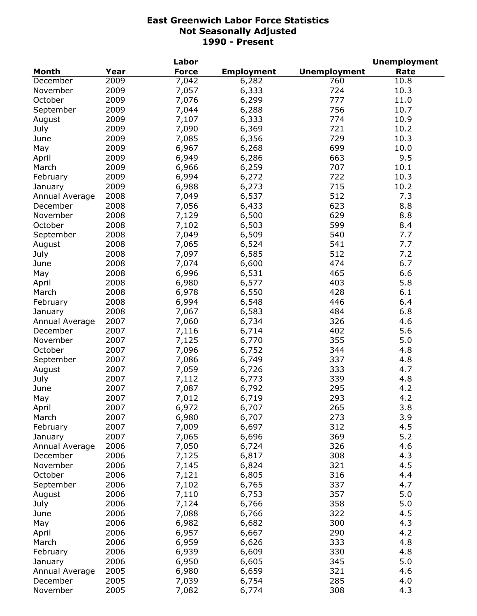|                |      | Labor        |                   |                     | <b>Unemployment</b> |
|----------------|------|--------------|-------------------|---------------------|---------------------|
| <b>Month</b>   | Year | <b>Force</b> | <b>Employment</b> | <b>Unemployment</b> | Rate                |
| December       | 2009 | 7,042        | 6,282             | 760                 | 10.8                |
| November       | 2009 | 7,057        | 6,333             | 724                 | 10.3                |
| October        | 2009 | 7,076        | 6,299             | 777                 | 11.0                |
| September      | 2009 | 7,044        | 6,288             | 756                 | 10.7                |
| August         | 2009 | 7,107        | 6,333             | 774                 | 10.9                |
| July           | 2009 | 7,090        | 6,369             | 721                 | 10.2                |
| June           | 2009 | 7,085        | 6,356             | 729                 | 10.3                |
| May            | 2009 | 6,967        | 6,268             | 699                 | 10.0                |
| April          | 2009 | 6,949        | 6,286             | 663                 | 9.5                 |
| March          | 2009 | 6,966        | 6,259             | 707                 | 10.1                |
| February       | 2009 | 6,994        | 6,272             | 722                 | 10.3                |
| January        | 2009 | 6,988        | 6,273             | 715                 | 10.2                |
| Annual Average | 2008 | 7,049        | 6,537             | 512                 | 7.3                 |
| December       | 2008 | 7,056        | 6,433             | 623                 | 8.8                 |
| November       | 2008 | 7,129        |                   | 629                 | 8.8                 |
|                |      |              | 6,500             |                     |                     |
| October        | 2008 | 7,102        | 6,503             | 599                 | 8.4                 |
| September      | 2008 | 7,049        | 6,509             | 540                 | 7.7                 |
| August         | 2008 | 7,065        | 6,524             | 541                 | 7.7                 |
| July           | 2008 | 7,097        | 6,585             | 512                 | 7.2                 |
| June           | 2008 | 7,074        | 6,600             | 474                 | 6.7                 |
| May            | 2008 | 6,996        | 6,531             | 465                 | 6.6                 |
| April          | 2008 | 6,980        | 6,577             | 403                 | 5.8                 |
| March          | 2008 | 6,978        | 6,550             | 428                 | 6.1                 |
| February       | 2008 | 6,994        | 6,548             | 446                 | 6.4                 |
| January        | 2008 | 7,067        | 6,583             | 484                 | 6.8                 |
| Annual Average | 2007 | 7,060        | 6,734             | 326                 | 4.6                 |
| December       | 2007 | 7,116        | 6,714             | 402                 | 5.6                 |
| November       | 2007 | 7,125        | 6,770             | 355                 | 5.0                 |
| October        | 2007 | 7,096        | 6,752             | 344                 | 4.8                 |
| September      | 2007 | 7,086        | 6,749             | 337                 | 4.8                 |
| August         | 2007 | 7,059        | 6,726             | 333                 | 4.7                 |
| July           | 2007 | 7,112        | 6,773             | 339                 | 4.8                 |
| June           | 2007 | 7,087        | 6,792             | 295                 | 4.2                 |
| May            | 2007 | 7,012        | 6,719             | 293                 | 4.2                 |
| April          | 2007 | 6,972        | 6,707             | 265                 | 3.8                 |
| March          | 2007 | 6,980        | 6,707             | 273                 | 3.9                 |
| February       | 2007 | 7,009        | 6,697             | 312                 | 4.5                 |
| January        | 2007 | 7,065        | 6,696             | 369                 | 5.2                 |
| Annual Average | 2006 | 7,050        | 6,724             | 326                 | 4.6                 |
| December       | 2006 | 7,125        | 6,817             | 308                 | 4.3                 |
| November       | 2006 | 7,145        | 6,824             | 321                 | 4.5                 |
| October        | 2006 | 7,121        | 6,805             | 316                 | 4.4                 |
| September      | 2006 | 7,102        | 6,765             | 337                 | 4.7                 |
| August         | 2006 | 7,110        | 6,753             | 357                 | 5.0                 |
|                | 2006 | 7,124        | 6,766             | 358                 | 5.0                 |
| July           |      | 7,088        |                   | 322                 | 4.5                 |
| June           | 2006 |              | 6,766             |                     |                     |
| May            | 2006 | 6,982        | 6,682             | 300                 | 4.3                 |
| April          | 2006 | 6,957        | 6,667             | 290                 | 4.2                 |
| March          | 2006 | 6,959        | 6,626             | 333                 | 4.8                 |
| February       | 2006 | 6,939        | 6,609             | 330                 | 4.8                 |
| January        | 2006 | 6,950        | 6,605             | 345                 | 5.0                 |
| Annual Average | 2005 | 6,980        | 6,659             | 321                 | 4.6                 |
| December       | 2005 | 7,039        | 6,754             | 285                 | 4.0                 |
| November       | 2005 | 7,082        | 6,774             | 308                 | 4.3                 |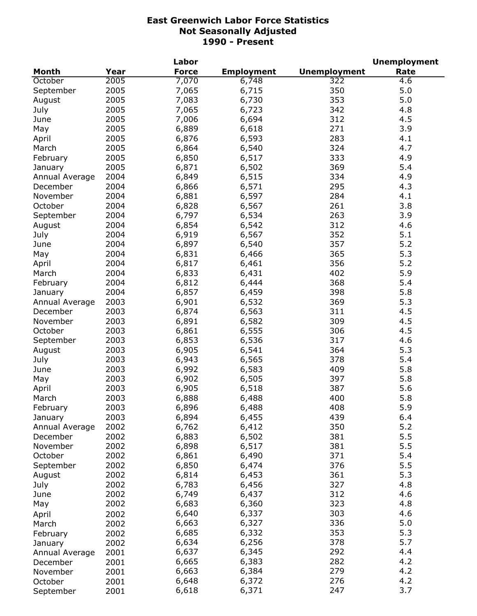|                |      | Labor          |                   |                     | <b>Unemployment</b> |
|----------------|------|----------------|-------------------|---------------------|---------------------|
| <b>Month</b>   | Year | <b>Force</b>   | <b>Employment</b> | <b>Unemployment</b> | Rate                |
| October        | 2005 | 7,070          | 6,748             | 322                 | 4.6                 |
| September      | 2005 | 7,065          | 6,715             | 350                 | 5.0                 |
| August         | 2005 | 7,083          | 6,730             | 353                 | 5.0                 |
| July           | 2005 | 7,065          | 6,723             | 342                 | 4.8                 |
| June           | 2005 | 7,006          | 6,694             | 312                 | 4.5                 |
| May            | 2005 | 6,889          | 6,618             | 271                 | 3.9                 |
| April          | 2005 | 6,876          | 6,593             | 283                 | 4.1                 |
| March          | 2005 | 6,864          | 6,540             | 324                 | 4.7                 |
| February       | 2005 | 6,850          | 6,517             | 333                 | 4.9                 |
| January        | 2005 | 6,871          | 6,502             | 369                 | 5.4                 |
| Annual Average | 2004 | 6,849          | 6,515             | 334                 | 4.9                 |
| December       | 2004 | 6,866          | 6,571             | 295                 | 4.3                 |
| November       | 2004 | 6,881          | 6,597             | 284                 | 4.1                 |
| October        | 2004 | 6,828          | 6,567             | 261                 | 3.8                 |
| September      | 2004 | 6,797          | 6,534             | 263                 | 3.9                 |
| August         | 2004 | 6,854          | 6,542             | 312                 | 4.6                 |
| July           | 2004 | 6,919          | 6,567             | 352                 | 5.1                 |
| June           | 2004 | 6,897          | 6,540             | 357                 | 5.2                 |
| May            | 2004 | 6,831          | 6,466             | 365                 | 5.3                 |
| April          | 2004 | 6,817          | 6,461             | 356                 | 5.2                 |
| March          | 2004 | 6,833          | 6,431             | 402                 | 5.9                 |
| February       | 2004 | 6,812          | 6,444             | 368                 | 5.4                 |
| January        | 2004 | 6,857          | 6,459             | 398                 | 5.8                 |
| Annual Average | 2003 | 6,901          | 6,532             | 369                 | 5.3                 |
| December       | 2003 | 6,874          | 6,563             | 311                 | 4.5                 |
| November       | 2003 | 6,891          | 6,582             | 309                 | 4.5                 |
| October        | 2003 | 6,861          | 6,555             | 306                 | 4.5                 |
| September      | 2003 | 6,853          | 6,536             | 317                 | 4.6                 |
| August         | 2003 | 6,905          | 6,541             | 364                 | 5.3                 |
| July           | 2003 | 6,943          | 6,565             | 378                 | 5.4                 |
| June           | 2003 | 6,992          | 6,583             | 409                 | 5.8                 |
| May            | 2003 | 6,902          | 6,505             | 397                 | 5.8                 |
| April          | 2003 | 6,905          | 6,518             | 387                 | 5.6                 |
| March          | 2003 | 6,888          | 6,488             | 400                 | 5.8                 |
| February       | 2003 | 6,896          | 6,488             | 408                 | 5.9                 |
| January        | 2003 | 6,894          | 6,455             | 439                 | 6.4                 |
| Annual Average | 2002 | 6,762          | 6,412             | 350                 | 5.2                 |
| December       | 2002 | 6,883          | 6,502             | 381                 | 5.5                 |
| November       | 2002 | 6,898          | 6,517             | 381                 | 5.5                 |
| October        | 2002 | 6,861          | 6,490             | 371                 | 5.4                 |
| September      | 2002 | 6,850          | 6,474             | 376                 | 5.5                 |
| August         | 2002 | 6,814          | 6,453             | 361                 | 5.3                 |
| July           | 2002 | 6,783          | 6,456             | 327                 | 4.8                 |
| June           | 2002 | 6,749          | 6,437             | 312                 | 4.6                 |
| May            | 2002 | 6,683          | 6,360             | 323                 | 4.8                 |
|                |      | 6,640          | 6,337             | 303                 | 4.6                 |
| April          | 2002 |                |                   | 336                 | 5.0                 |
| March          | 2002 | 6,663<br>6,685 | 6,327<br>6,332    | 353                 | 5.3                 |
| February       | 2002 |                |                   | 378                 | 5.7                 |
| January        | 2002 | 6,634          | 6,256             | 292                 | 4.4                 |
| Annual Average | 2001 | 6,637<br>6,665 | 6,345             | 282                 | 4.2                 |
| December       | 2001 |                | 6,383             | 279                 | 4.2                 |
| November       | 2001 | 6,663<br>6,648 | 6,384             | 276                 | 4.2                 |
| October        | 2001 |                | 6,372             | 247                 | 3.7                 |
| September      | 2001 | 6,618          | 6,371             |                     |                     |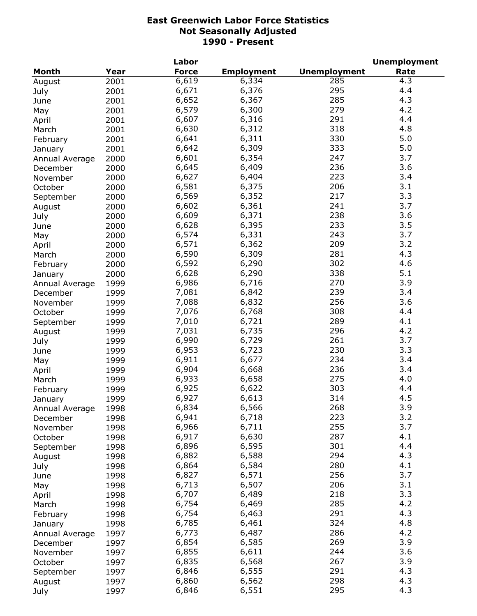|                |      | Labor        |                   |                     | <b>Unemployment</b> |
|----------------|------|--------------|-------------------|---------------------|---------------------|
| <b>Month</b>   | Year | <b>Force</b> | <b>Employment</b> | <b>Unemployment</b> | Rate                |
| August         | 2001 | 6,619        | 6,334             | 285                 | 4.3                 |
| July           | 2001 | 6,671        | 6,376             | 295                 | 4.4                 |
| June           | 2001 | 6,652        | 6,367             | 285                 | 4.3                 |
| May            | 2001 | 6,579        | 6,300             | 279                 | 4.2                 |
| April          | 2001 | 6,607        | 6,316             | 291                 | 4.4                 |
| March          | 2001 | 6,630        | 6,312             | 318                 | 4.8                 |
| February       | 2001 | 6,641        | 6,311             | 330                 | 5.0                 |
|                | 2001 | 6,642        | 6,309             | 333                 | 5.0                 |
| January        |      | 6,601        | 6,354             | 247                 | 3.7                 |
| Annual Average | 2000 |              | 6,409             | 236                 | 3.6                 |
| December       | 2000 | 6,645        |                   |                     |                     |
| November       | 2000 | 6,627        | 6,404             | 223                 | 3.4                 |
| October        | 2000 | 6,581        | 6,375             | 206                 | 3.1                 |
| September      | 2000 | 6,569        | 6,352             | 217                 | 3.3                 |
| August         | 2000 | 6,602        | 6,361             | 241                 | 3.7                 |
| July           | 2000 | 6,609        | 6,371             | 238                 | 3.6                 |
| June           | 2000 | 6,628        | 6,395             | 233                 | 3.5                 |
| May            | 2000 | 6,574        | 6,331             | 243                 | 3.7                 |
| April          | 2000 | 6,571        | 6,362             | 209                 | 3.2                 |
| March          | 2000 | 6,590        | 6,309             | 281                 | 4.3                 |
| February       | 2000 | 6,592        | 6,290             | 302                 | 4.6                 |
| January        | 2000 | 6,628        | 6,290             | 338                 | 5.1                 |
| Annual Average | 1999 | 6,986        | 6,716             | 270                 | 3.9                 |
| December       | 1999 | 7,081        | 6,842             | 239                 | 3.4                 |
| November       | 1999 | 7,088        | 6,832             | 256                 | 3.6                 |
| October        | 1999 | 7,076        | 6,768             | 308                 | 4.4                 |
| September      | 1999 | 7,010        | 6,721             | 289                 | 4.1                 |
| August         | 1999 | 7,031        | 6,735             | 296                 | 4.2                 |
|                |      | 6,990        | 6,729             | 261                 | 3.7                 |
| July           | 1999 | 6,953        | 6,723             | 230                 | 3.3                 |
| June           | 1999 |              |                   | 234                 | 3.4                 |
| May            | 1999 | 6,911        | 6,677             |                     |                     |
| April          | 1999 | 6,904        | 6,668             | 236                 | 3.4                 |
| March          | 1999 | 6,933        | 6,658             | 275                 | 4.0                 |
| February       | 1999 | 6,925        | 6,622             | 303                 | 4.4                 |
| January        | 1999 | 6,927        | 6,613             | 314                 | 4.5                 |
| Annual Average | 1998 | 6,834        | 6,566             | 268                 | 3.9                 |
| December       | 1998 | 6,941        | 6,718             | 223                 | 3.2                 |
| November       | 1998 | 6,966        | 6,711             | 255                 | 3.7                 |
| October        | 1998 | 6,917        | 6,630             | 287                 | 4.1                 |
| September      | 1998 | 6,896        | 6,595             | 301                 | 4.4                 |
| August         | 1998 | 6,882        | 6,588             | 294                 | 4.3                 |
| July           | 1998 | 6,864        | 6,584             | 280                 | 4.1                 |
| June           | 1998 | 6,827        | 6,571             | 256                 | 3.7                 |
| May            | 1998 | 6,713        | 6,507             | 206                 | 3.1                 |
| April          | 1998 | 6,707        | 6,489             | 218                 | 3.3                 |
| March          | 1998 | 6,754        | 6,469             | 285                 | 4.2                 |
| February       | 1998 | 6,754        | 6,463             | 291                 | 4.3                 |
| January        | 1998 | 6,785        | 6,461             | 324                 | 4.8                 |
|                | 1997 | 6,773        | 6,487             | 286                 | 4.2                 |
| Annual Average |      | 6,854        | 6,585             | 269                 | 3.9                 |
| December       | 1997 |              |                   | 244                 | 3.6                 |
| November       | 1997 | 6,855        | 6,611             |                     |                     |
| October        | 1997 | 6,835        | 6,568             | 267                 | 3.9                 |
| September      | 1997 | 6,846        | 6,555             | 291                 | 4.3                 |
| August         | 1997 | 6,860        | 6,562             | 298                 | 4.3                 |
| July           | 1997 | 6,846        | 6,551             | 295                 | 4.3                 |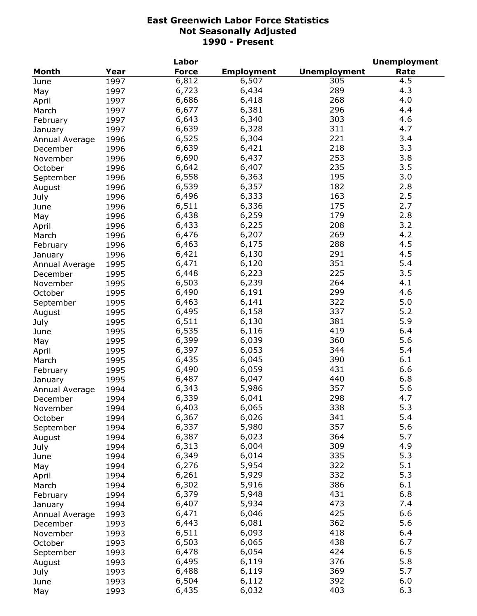|                |      | Labor        |                   |                     | <b>Unemployment</b> |
|----------------|------|--------------|-------------------|---------------------|---------------------|
| <b>Month</b>   | Year | <b>Force</b> | <b>Employment</b> | <b>Unemployment</b> | Rate                |
| June           | 1997 | 6,812        | 6,507             | 305                 | 4.5                 |
| May            | 1997 | 6,723        | 6,434             | 289                 | 4.3                 |
| April          | 1997 | 6,686        | 6,418             | 268                 | 4.0                 |
| March          | 1997 | 6,677        | 6,381             | 296                 | 4.4                 |
| February       | 1997 | 6,643        | 6,340             | 303                 | 4.6                 |
| January        | 1997 | 6,639        | 6,328             | 311                 | 4.7                 |
| Annual Average | 1996 | 6,525        | 6,304             | 221                 | 3.4                 |
| December       | 1996 | 6,639        | 6,421             | 218                 | 3.3                 |
| November       | 1996 | 6,690        | 6,437             | 253                 | 3.8                 |
|                |      | 6,642        | 6,407             | 235                 | 3.5                 |
| October        | 1996 | 6,558        |                   | 195                 | 3.0                 |
| September      | 1996 |              | 6,363             |                     |                     |
| August         | 1996 | 6,539        | 6,357             | 182                 | 2.8                 |
| July           | 1996 | 6,496        | 6,333             | 163                 | 2.5                 |
| June           | 1996 | 6,511        | 6,336             | 175                 | 2.7                 |
| May            | 1996 | 6,438        | 6,259             | 179                 | 2.8                 |
| April          | 1996 | 6,433        | 6,225             | 208                 | 3.2                 |
| March          | 1996 | 6,476        | 6,207             | 269                 | 4.2                 |
| February       | 1996 | 6,463        | 6,175             | 288                 | 4.5                 |
| January        | 1996 | 6,421        | 6,130             | 291                 | 4.5                 |
| Annual Average | 1995 | 6,471        | 6,120             | 351                 | 5.4                 |
| December       | 1995 | 6,448        | 6,223             | 225                 | 3.5                 |
| November       | 1995 | 6,503        | 6,239             | 264                 | 4.1                 |
| October        | 1995 | 6,490        | 6,191             | 299                 | 4.6                 |
| September      | 1995 | 6,463        | 6,141             | 322                 | 5.0                 |
| August         | 1995 | 6,495        | 6,158             | 337                 | 5.2                 |
| July           | 1995 | 6,511        | 6,130             | 381                 | 5.9                 |
| June           | 1995 | 6,535        | 6,116             | 419                 | 6.4                 |
| May            | 1995 | 6,399        | 6,039             | 360                 | 5.6                 |
| April          | 1995 | 6,397        | 6,053             | 344                 | 5.4                 |
| March          | 1995 | 6,435        | 6,045             | 390                 | 6.1                 |
| February       | 1995 | 6,490        | 6,059             | 431                 | 6.6                 |
| January        | 1995 | 6,487        | 6,047             | 440                 | 6.8                 |
|                | 1994 | 6,343        | 5,986             | 357                 | 5.6                 |
| Annual Average | 1994 | 6,339        | 6,041             | 298                 | 4.7                 |
| December       |      |              | 6,065             | 338                 | 5.3                 |
| November       | 1994 | 6,403        |                   |                     | 5.4                 |
| October        | 1994 | 6,367        | 6,026             | 341                 |                     |
| September      | 1994 | 6,337        | 5,980             | 357                 | 5.6                 |
| August         | 1994 | 6,387        | 6,023             | 364                 | 5.7                 |
| July           | 1994 | 6,313        | 6,004             | 309                 | 4.9                 |
| June           | 1994 | 6,349        | 6,014             | 335                 | 5.3                 |
| May            | 1994 | 6,276        | 5,954             | 322                 | 5.1                 |
| April          | 1994 | 6,261        | 5,929             | 332                 | 5.3                 |
| March          | 1994 | 6,302        | 5,916             | 386                 | 6.1                 |
| February       | 1994 | 6,379        | 5,948             | 431                 | 6.8                 |
| January        | 1994 | 6,407        | 5,934             | 473                 | 7.4                 |
| Annual Average | 1993 | 6,471        | 6,046             | 425                 | 6.6                 |
| December       | 1993 | 6,443        | 6,081             | 362                 | 5.6                 |
| November       | 1993 | 6,511        | 6,093             | 418                 | 6.4                 |
| October        | 1993 | 6,503        | 6,065             | 438                 | 6.7                 |
| September      | 1993 | 6,478        | 6,054             | 424                 | 6.5                 |
| August         | 1993 | 6,495        | 6,119             | 376                 | 5.8                 |
| July           | 1993 | 6,488        | 6,119             | 369                 | 5.7                 |
| June           | 1993 | 6,504        | 6,112             | 392                 | 6.0                 |
| May            | 1993 | 6,435        | 6,032             | 403                 | 6.3                 |